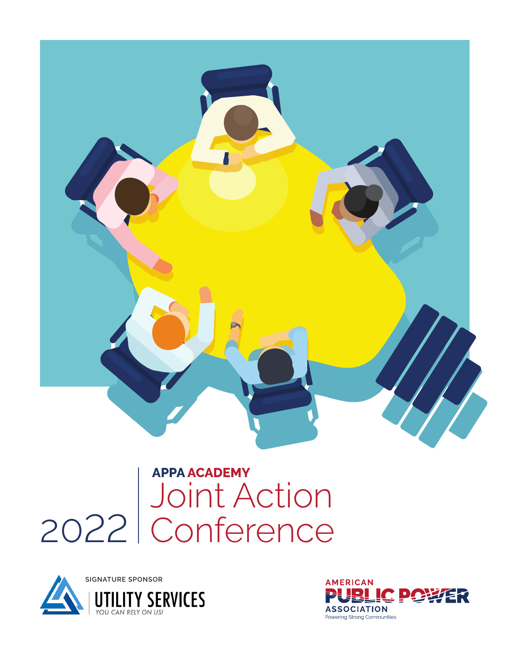

# Joint Action 2022 Conference **APPA ACADEMY**



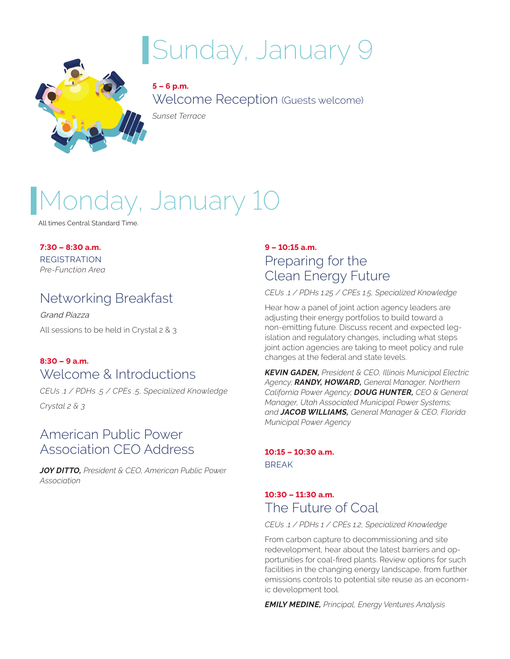# Sunday, January 9



**5 – 6 p.m.** Welcome Reception (Guests welcome)

*Sunset Terrace*

# nday, January 10

All times Central Standard Time.

**7:30 – 8:30 a.m.** REGISTRATION

*Pre-Function Area*

### Networking Breakfast

Grand Piazza All sessions to be held in Crystal 2 & 3

#### **8:30 – 9 a.m.** Welcome & Introductions

*CEUs .1 / PDHs .5 / CPEs .5, Specialized Knowledge Crystal 2 & 3*

### American Public Power Association CEO Address

*JOY DITTO, President & CEO, American Public Power Association*

#### **9 – 10:15 a.m.** Preparing for the Clean Energy Future

*CEUs .1 / PDHs 1.25 / CPEs 1.5, Specialized Knowledge*

Hear how a panel of joint action agency leaders are adjusting their energy portfolios to build toward a non-emitting future. Discuss recent and expected legislation and regulatory changes, including what steps joint action agencies are taking to meet policy and rule changes at the federal and state levels.

*KEVIN GADEN, President & CEO, Illinois Municipal Electric Agency; RANDY, HOWARD, General Manager, Northern California Power Agency; DOUG HUNTER, CEO & General Manager, Utah Associated Municipal Power Systems; and JACOB WILLIAMS, General Manager & CEO, Florida Municipal Power Agency*

#### **10:15 – 10:30 a.m.** BREAK

#### **10:30 – 11:30 a.m.** The Future of Coal

#### *CEUs .1 / PDHs 1 / CPEs 1.2, Specialized Knowledge*

From carbon capture to decommissioning and site redevelopment, hear about the latest barriers and opportunities for coal-fired plants. Review options for such facilities in the changing energy landscape, from further emissions controls to potential site reuse as an economic development tool.

*EMILY MEDINE, Principal, Energy Ventures Analysis*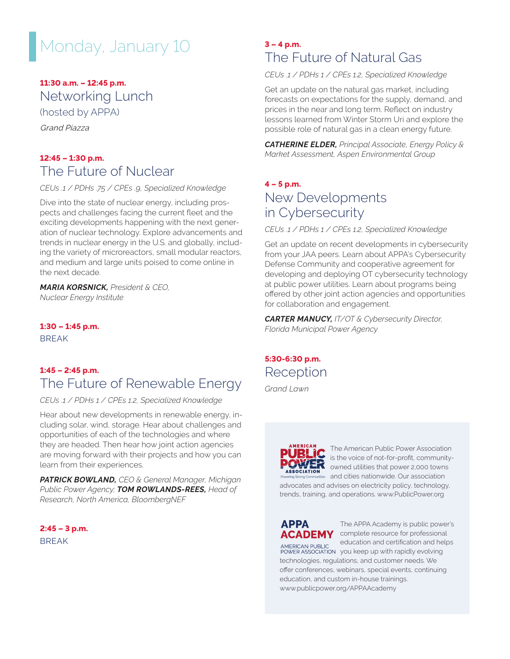## Monday, January 10

#### **11:30 a.m. – 12:45 p.m.**

Networking Lunch

(hosted by APPA)

Grand Piazza

#### **12:45 – 1:30 p.m.** The Future of Nuclear

*CEUs .1 / PDHs .75 / CPEs .9, Specialized Knowledge*

Dive into the state of nuclear energy, including prospects and challenges facing the current fleet and the exciting developments happening with the next generation of nuclear technology. Explore advancements and trends in nuclear energy in the U.S. and globally, including the variety of microreactors, small modular reactors, and medium and large units poised to come online in the next decade.

*MARIA KORSNICK, President & CEO, Nuclear Energy Institute*

**1:30 – 1:45 p.m.** BREAK

#### **1:45 – 2:45 p.m.** The Future of Renewable Energy

*CEUs .1 / PDHs 1 / CPEs 1.2, Specialized Knowledge*

Hear about new developments in renewable energy, including solar, wind, storage. Hear about challenges and opportunities of each of the technologies and where they are headed. Then hear how joint action agencies are moving forward with their projects and how you can learn from their experiences.

*PATRICK BOWLAND, CEO & General Manager, Michigan Public Power Agency; TOM ROWLANDS-REES, Head of Research, North America, BloombergNEF*

**2:45 – 3 p.m.** BREAK

#### **3 – 4 p.m.** The Future of Natural Gas

*CEUs .1 / PDHs 1 / CPEs 1.2, Specialized Knowledge*

Get an update on the natural gas market, including forecasts on expectations for the supply, demand, and prices in the near and long term. Reflect on industry lessons learned from Winter Storm Uri and explore the possible role of natural gas in a clean energy future.

*CATHERINE ELDER, Principal Associate, Energy Policy & Market Assessment, Aspen Environmental Group*

### **4 – 5 p.m.** New Developments in Cybersecurity

*CEUs .1 / PDHs 1 / CPEs 1.2, Specialized Knowledge* 

Get an update on recent developments in cybersecurity from your JAA peers. Learn about APPA's Cybersecurity Defense Community and cooperative agreement for developing and deploying OT cybersecurity technology at public power utilities. Learn about programs being offered by other joint action agencies and opportunities for collaboration and engagement.

*CARTER MANUCY, IT/OT & Cybersecurity Director, Florida Municipal Power Agency*

### **5:30-6:30 p.m.** Reception

*Grand Lawn*



The American Public Power Association is the voice of not-for-profit, community-**POWER** is the voice of not-for-profit, community<br>**ASSOCIATION** owned utilities that power 2,000 towns and cities nationwide. Our association advocates and advises on electricity policy, technology, trends, training, and operations. www.PublicPower.org

## **APPA**

The APPA Academy is public power's **ACADEMY** complete resource for professional education and certification and helps AMERICAN PUBLIC education and certification and net<br>POWER ASSOCIATION you keep up with rapidly evolving technologies, regulations, and customer needs. We offer conferences, webinars, special events, continuing education, and custom in-house trainings. www.publicpower.org/APPAAcademy